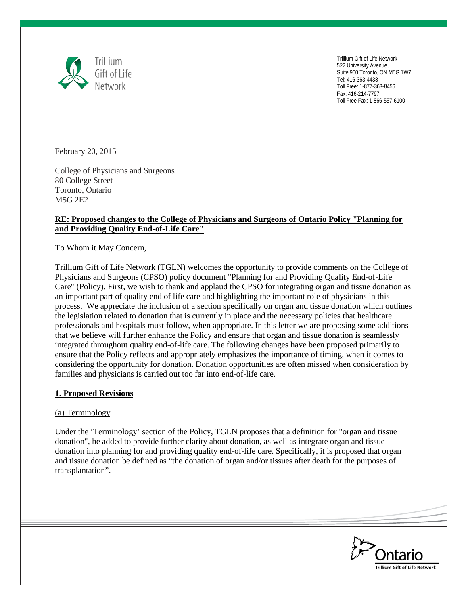

Trillium Gift of Life Network 522 University Avenue, Suite 900 Toronto, ON M5G 1W7 Tel: 416-363-4438 Toll Free: 1-877-363-8456 Fax: 416-214-7797 Toll Free Fax: 1-866-557-6100

February 20, 2015

College of Physicians and Surgeons 80 College Street Toronto, Ontario M5G 2E2

# **RE: Proposed changes to the College of Physicians and Surgeons of Ontario Policy "Planning for and Providing Quality End-of-Life Care"**

To Whom it May Concern,

Trillium Gift of Life Network (TGLN) welcomes the opportunity to provide comments on the College of Physicians and Surgeons (CPSO) policy document "Planning for and Providing Quality End-of-Life Care" (Policy). First, we wish to thank and applaud the CPSO for integrating organ and tissue donation as an important part of quality end of life care and highlighting the important role of physicians in this process. We appreciate the inclusion of a section specifically on organ and tissue donation which outlines the legislation related to donation that is currently in place and the necessary policies that healthcare professionals and hospitals must follow, when appropriate. In this letter we are proposing some additions that we believe will further enhance the Policy and ensure that organ and tissue donation is seamlessly integrated throughout quality end-of-life care. The following changes have been proposed primarily to ensure that the Policy reflects and appropriately emphasizes the importance of timing, when it comes to considering the opportunity for donation. Donation opportunities are often missed when consideration by families and physicians is carried out too far into end-of-life care.

# **1. Proposed Revisions**

# (a) Terminology

Under the 'Terminology' section of the Policy, TGLN proposes that a definition for "organ and tissue donation", be added to provide further clarity about donation, as well as integrate organ and tissue donation into planning for and providing quality end-of-life care. Specifically, it is proposed that organ and tissue donation be defined as "the donation of organ and/or tissues after death for the purposes of transplantation".

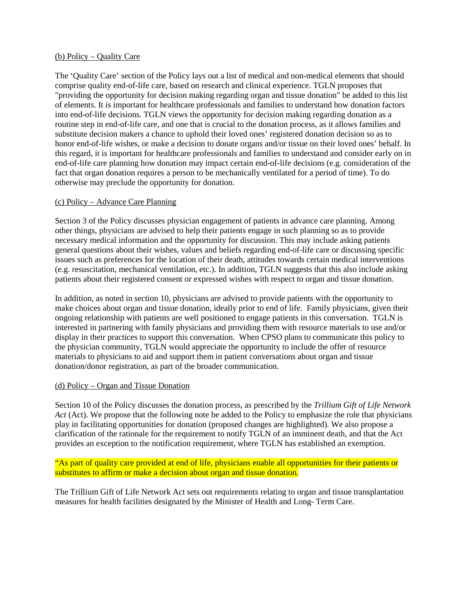# (b) Policy – Quality Care

The 'Quality Care' section of the Policy lays out a list of medical and non-medical elements that should comprise quality end-of-life care, based on research and clinical experience. TGLN proposes that "providing the opportunity for decision making regarding organ and tissue donation" be added to this list of elements. It is important for healthcare professionals and families to understand how donation factors into end-of-life decisions. TGLN views the opportunity for decision making regarding donation as a routine step in end-of-life care, and one that is crucial to the donation process, as it allows families and substitute decision makers a chance to uphold their loved ones' registered donation decision so as to honor end-of-life wishes, or make a decision to donate organs and/or tissue on their loved ones' behalf. In this regard, it is important for healthcare professionals and families to understand and consider early on in end-of-life care planning how donation may impact certain end-of-life decisions (e.g. consideration of the fact that organ donation requires a person to be mechanically ventilated for a period of time). To do otherwise may preclude the opportunity for donation.

# (c) Policy – Advance Care Planning

Section 3 of the Policy discusses physician engagement of patients in advance care planning. Among other things, physicians are advised to help their patients engage in such planning so as to provide necessary medical information and the opportunity for discussion. This may include asking patients general questions about their wishes, values and beliefs regarding end-of-life care or discussing specific issues such as preferences for the location of their death, attitudes towards certain medical interventions (e.g. resuscitation, mechanical ventilation, etc.). In addition, TGLN suggests that this also include asking patients about their registered consent or expressed wishes with respect to organ and tissue donation.

In addition, as noted in section 10, physicians are advised to provide patients with the opportunity to make choices about organ and tissue donation, ideally prior to end of life. Family physicians, given their ongoing relationship with patients are well positioned to engage patients in this conversation. TGLN is interested in partnering with family physicians and providing them with resource materials to use and/or display in their practices to support this conversation. When CPSO plans to communicate this policy to the physician community, TGLN would appreciate the opportunity to include the offer of resource materials to physicians to aid and support them in patient conversations about organ and tissue donation/donor registration, as part of the broader communication.

#### (d) Policy – Organ and Tissue Donation

Section 10 of the Policy discusses the donation process, as prescribed by the *Trillium Gift of Life Network Act* (Act). We propose that the following note be added to the Policy to emphasize the role that physicians play in facilitating opportunities for donation (proposed changes are highlighted). We also propose a clarification of the rationale for the requirement to notify TGLN of an imminent death, and that the Act provides an exception to the notification requirement, where TGLN has established an exemption.

"As part of quality care provided at end of life, physicians enable all opportunities for their patients or substitutes to affirm or make a decision about organ and tissue donation.

The Trillium Gift of Life Network Act sets out requirements relating to organ and tissue transplantation measures for health facilities designated by the Minister of Health and Long- Term Care.